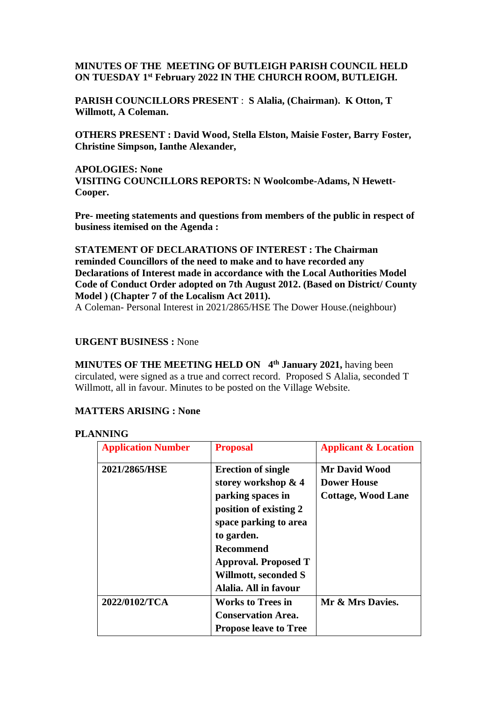# **MINUTES OF THE MEETING OF BUTLEIGH PARISH COUNCIL HELD ON TUESDAY 1 st February 2022 IN THE CHURCH ROOM, BUTLEIGH.**

**PARISH COUNCILLORS PRESENT** : **S Alalia, (Chairman). K Otton, T Willmott, A Coleman.**

**OTHERS PRESENT : David Wood, Stella Elston, Maisie Foster, Barry Foster, Christine Simpson, Ianthe Alexander,** 

**APOLOGIES: None VISITING COUNCILLORS REPORTS: N Woolcombe-Adams, N Hewett-Cooper.**

**Pre- meeting statements and questions from members of the public in respect of business itemised on the Agenda :**

**STATEMENT OF DECLARATIONS OF INTEREST : The Chairman reminded Councillors of the need to make and to have recorded any Declarations of Interest made in accordance with the Local Authorities Model Code of Conduct Order adopted on 7th August 2012. (Based on District/ County Model ) (Chapter 7 of the Localism Act 2011).**

A Coleman- Personal Interest in 2021/2865/HSE The Dower House.(neighbour)

#### **URGENT BUSINESS :** None

**MINUTES OF THE MEETING HELD ON 4 th January 2021,** having been circulated, were signed as a true and correct record. Proposed S Alalia, seconded T Willmott, all in favour. Minutes to be posted on the Village Website.

## **MATTERS ARISING : None**

## **PLANNING**

| <b>Application Number</b> | <b>Proposal</b>              | <b>Applicant &amp; Location</b>            |  |
|---------------------------|------------------------------|--------------------------------------------|--|
| 2021/2865/HSE             | <b>Erection of single</b>    | <b>Mr David Wood</b><br><b>Dower House</b> |  |
|                           | storey workshop & 4          |                                            |  |
|                           | parking spaces in            | <b>Cottage, Wood Lane</b>                  |  |
|                           | position of existing 2       |                                            |  |
|                           | space parking to area        |                                            |  |
|                           | to garden.                   |                                            |  |
|                           | Recommend                    |                                            |  |
|                           | <b>Approval. Proposed T</b>  |                                            |  |
|                           | Willmott, seconded S         |                                            |  |
|                           | Alalia. All in favour        |                                            |  |
| 2022/0102/TCA             | <b>Works to Trees in</b>     | Mr & Mrs Davies.                           |  |
|                           | <b>Conservation Area.</b>    |                                            |  |
|                           | <b>Propose leave to Tree</b> |                                            |  |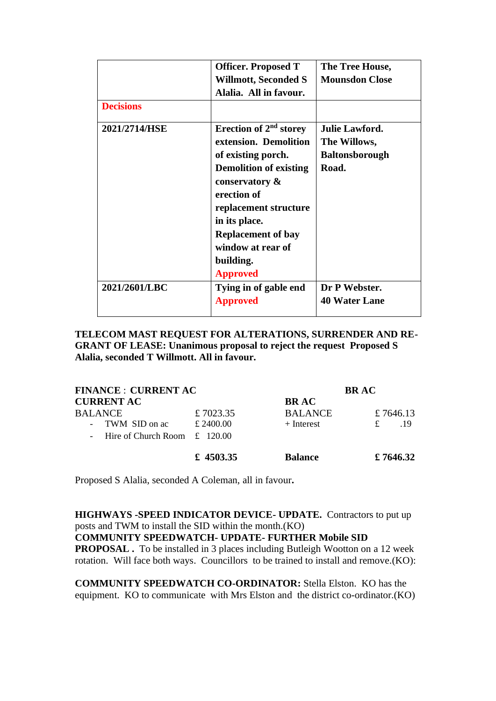|                  | <b>Officer. Proposed T</b>         | The Tree House,<br><b>Mounsdon Close</b> |  |
|------------------|------------------------------------|------------------------------------------|--|
|                  | Willmott, Seconded S               |                                          |  |
|                  | Alalia. All in favour.             |                                          |  |
| <b>Decisions</b> |                                    |                                          |  |
| 2021/2714/HSE    | Erection of 2 <sup>nd</sup> storey | <b>Julie Lawford.</b>                    |  |
|                  | extension. Demolition              | The Willows,                             |  |
|                  | of existing porch.                 | <b>Baltonsborough</b>                    |  |
|                  | <b>Demolition of existing</b>      | Road.                                    |  |
|                  | conservatory &                     |                                          |  |
|                  | erection of                        |                                          |  |
|                  | replacement structure              |                                          |  |
|                  | in its place.                      |                                          |  |
|                  | <b>Replacement of bay</b>          |                                          |  |
|                  | window at rear of                  |                                          |  |
|                  | building.                          |                                          |  |
|                  | <b>Approved</b>                    |                                          |  |
| 2021/2601/LBC    | Tying in of gable end              | Dr P Webster.                            |  |
|                  | <b>Approved</b>                    | <b>40 Water Lane</b>                     |  |
|                  |                                    |                                          |  |

**TELECOM MAST REQUEST FOR ALTERATIONS, SURRENDER AND RE-GRANT OF LEASE: Unanimous proposal to reject the request Proposed S Alalia, seconded T Willmott. All in favour.**

| <b>FINANCE : CURRENT AC</b>                                  |           | <b>BRAC</b>    |           |  |
|--------------------------------------------------------------|-----------|----------------|-----------|--|
| <b>CURRENT AC</b>                                            |           | <b>BRAC</b>    |           |  |
| <b>BALANCE</b>                                               | £7023.35  | <b>BALANCE</b> | £7646.13  |  |
| TWM SID on ac<br>$\sim$                                      | £ 2400.00 | $+$ Interest   | £<br>.19  |  |
| Hire of Church Room $\pm$ 120.00<br>$\overline{\phantom{a}}$ |           |                |           |  |
|                                                              | £ 4503.35 | <b>Balance</b> | £ 7646.32 |  |

Proposed S Alalia, seconded A Coleman, all in favour**.**

**HIGHWAYS -SPEED INDICATOR DEVICE- UPDATE.** Contractors to put up posts and TWM to install the SID within the month.(KO) **COMMUNITY SPEEDWATCH- UPDATE- FURTHER Mobile SID PROPOSAL .** To be installed in 3 places including Butleigh Wootton on a 12 week rotation. Will face both ways. Councillors to be trained to install and remove.(KO):

**COMMUNITY SPEEDWATCH CO-ORDINATOR:** Stella Elston. KO has the equipment. KO to communicate with Mrs Elston and the district co-ordinator.(KO)